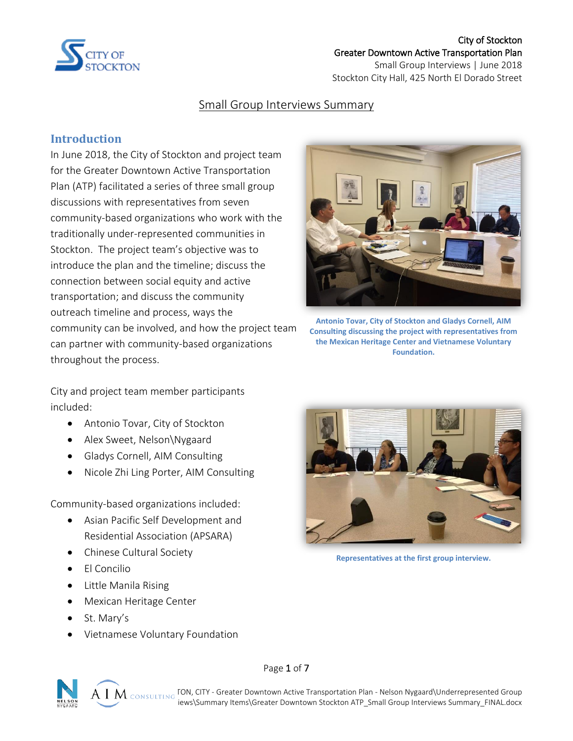

#### City of Stockton Greater Downtown Active Transportation Plan

Small Group Interviews | June 2018 Stockton City Hall, 425 North El Dorado Street

### Small Group Interviews Summary

### **Introduction**

In June 2018, the City of Stockton and project team for the Greater Downtown Active Transportation Plan (ATP) facilitated a series of three small group discussions with representatives from seven community-based organizations who work with the traditionally under-represented communities in Stockton. The project team's objective was to introduce the plan and the timeline; discuss the connection between social equity and active transportation; and discuss the community outreach timeline and process, ways the community can be involved, and how the project team can partner with community-based organizations throughout the process.



**Antonio Tovar, City of Stockton and Gladys Cornell, AIM Consulting discussing the project with representatives from the Mexican Heritage Center and Vietnamese Voluntary Foundation.**

City and project team member participants included:

- Antonio Tovar, City of Stockton
- Alex Sweet, Nelson\Nygaard
- Gladys Cornell, AIM Consulting
- Nicole Zhi Ling Porter, AIM Consulting

Community-based organizations included:

- Asian Pacific Self Development and Residential Association (APSARA)
- Chinese Cultural Society
- $\bullet$  Fl Concilio
- Little Manila Rising
- **•** Mexican Heritage Center
- St. Mary's
- Vietnamese Voluntary Foundation



Page 1 of 7



**Representatives at the first group interview.**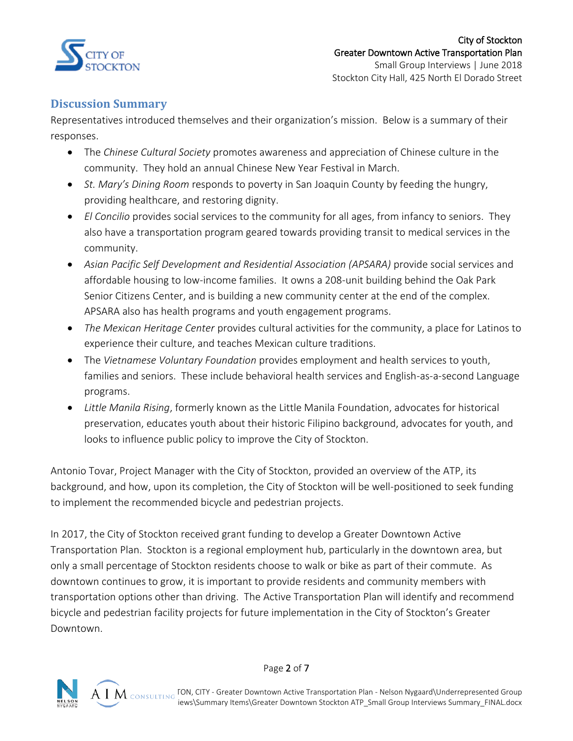

### **Discussion Summary**

Representatives introduced themselves and their organization's mission. Below is a summary of their responses.

- The *Chinese Cultural Society* promotes awareness and appreciation of Chinese culture in the community. They hold an annual Chinese New Year Festival in March.
- *St. Mary's Dining Room* responds to poverty in San Joaquin County by feeding the hungry, providing healthcare, and restoring dignity.
- *El Concilio* provides social services to the community for all ages, from infancy to seniors. They also have a transportation program geared towards providing transit to medical services in the community.
- *Asian Pacific Self Development and Residential Association (APSARA)* provide social services and affordable housing to low-income families. It owns a 208-unit building behind the Oak Park Senior Citizens Center, and is building a new community center at the end of the complex. APSARA also has health programs and youth engagement programs.
- *The Mexican Heritage Center* provides cultural activities for the community, a place for Latinos to experience their culture, and teaches Mexican culture traditions.
- The *Vietnamese Voluntary Foundation* provides employment and health services to youth, families and seniors. These include behavioral health services and English-as-a-second Language programs.
- *Little Manila Rising*, formerly known as the Little Manila Foundation, advocates for historical preservation, educates youth about their historic Filipino background, advocates for youth, and looks to influence public policy to improve the City of Stockton.

Antonio Tovar, Project Manager with the City of Stockton, provided an overview of the ATP, its background, and how, upon its completion, the City of Stockton will be well-positioned to seek funding to implement the recommended bicycle and pedestrian projects.

In 2017, the City of Stockton received grant funding to develop a Greater Downtown Active Transportation Plan. Stockton is a regional employment hub, particularly in the downtown area, but only a small percentage of Stockton residents choose to walk or bike as part of their commute. As downtown continues to grow, it is important to provide residents and community members with transportation options other than driving. The Active Transportation Plan will identify and recommend bicycle and pedestrian facility projects for future implementation in the City of Stockton's Greater Downtown.

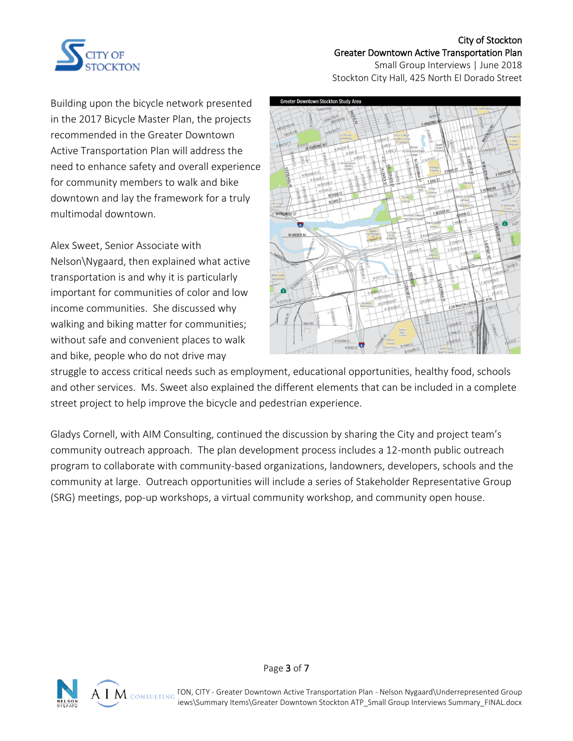

#### City of Stockton Greater Downtown Active Transportation Plan

Small Group Interviews | June 2018 Stockton City Hall, 425 North El Dorado Street

Building upon the bicycle network presented in the 2017 Bicycle Master Plan, the projects recommended in the Greater Downtown Active Transportation Plan will address the need to enhance safety and overall experience for community members to walk and bike downtown and lay the framework for a truly multimodal downtown.

Alex Sweet, Senior Associate with Nelson\Nygaard, then explained what active transportation is and why it is particularly important for communities of color and low income communities. She discussed why walking and biking matter for communities; without safe and convenient places to walk and bike, people who do not drive may



struggle to access critical needs such as employment, educational opportunities, healthy food, schools and other services. Ms. Sweet also explained the different elements that can be included in a complete street project to help improve the bicycle and pedestrian experience.

Gladys Cornell, with AIM Consulting, continued the discussion by sharing the City and project team's community outreach approach. The plan development process includes a 12-month public outreach program to collaborate with community-based organizations, landowners, developers, schools and the community at large. Outreach opportunities will include a series of Stakeholder Representative Group (SRG) meetings, pop-up workshops, a virtual community workshop, and community open house.





 $\mathsf{A}\; \mathsf{I}\; \mathsf{M}\;$  consulting TON, CITY - Greater Downtown Active Transportation Plan - Nelson Nygaard\Underrepresented Group iews\Summary Items\Greater Downtown Stockton ATP\_Small Group Interviews Summary\_FINAL.docx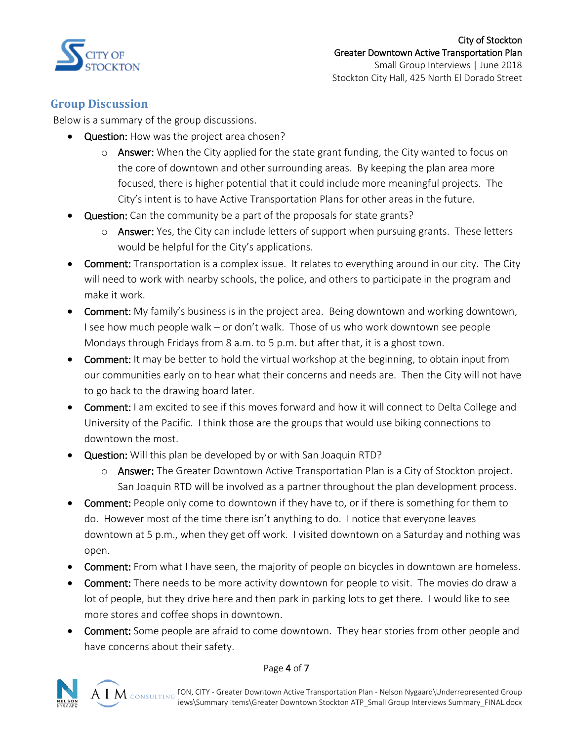

## **Group Discussion**

Below is a summary of the group discussions.

- Question: How was the project area chosen?
	- $\circ$  Answer: When the City applied for the state grant funding, the City wanted to focus on the core of downtown and other surrounding areas. By keeping the plan area more focused, there is higher potential that it could include more meaningful projects. The City's intent is to have Active Transportation Plans for other areas in the future.
- Question: Can the community be a part of the proposals for state grants?
	- o Answer: Yes, the City can include letters of support when pursuing grants. These letters would be helpful for the City's applications.
- Comment: Transportation is a complex issue. It relates to everything around in our city. The City will need to work with nearby schools, the police, and others to participate in the program and make it work.
- **Comment:** My family's business is in the project area. Being downtown and working downtown, I see how much people walk – or don't walk. Those of us who work downtown see people Mondays through Fridays from 8 a.m. to 5 p.m. but after that, it is a ghost town.
- Comment: It may be better to hold the virtual workshop at the beginning, to obtain input from our communities early on to hear what their concerns and needs are. Then the City will not have to go back to the drawing board later.
- Comment: I am excited to see if this moves forward and how it will connect to Delta College and University of the Pacific. I think those are the groups that would use biking connections to downtown the most.
- **Question:** Will this plan be developed by or with San Joaquin RTD?
	- $\circ$  Answer: The Greater Downtown Active Transportation Plan is a City of Stockton project. San Joaquin RTD will be involved as a partner throughout the plan development process.
- Comment: People only come to downtown if they have to, or if there is something for them to do. However most of the time there isn't anything to do. I notice that everyone leaves downtown at 5 p.m., when they get off work. I visited downtown on a Saturday and nothing was open.
- Comment: From what I have seen, the majority of people on bicycles in downtown are homeless.
- Comment: There needs to be more activity downtown for people to visit. The movies do draw a lot of people, but they drive here and then park in parking lots to get there. I would like to see more stores and coffee shops in downtown.
- Comment: Some people are afraid to come downtown. They hear stories from other people and have concerns about their safety.



#### Page 4 of 7

 ${\rm A\ I\ M}$   $_{\rm CONSULTING}$  TON, CITY - Greater Downtown Active Transportation Plan - Nelson Nygaard\Underrepresented Group iews\Summary Items\Greater Downtown Stockton ATP\_Small Group Interviews Summary\_FINAL.docx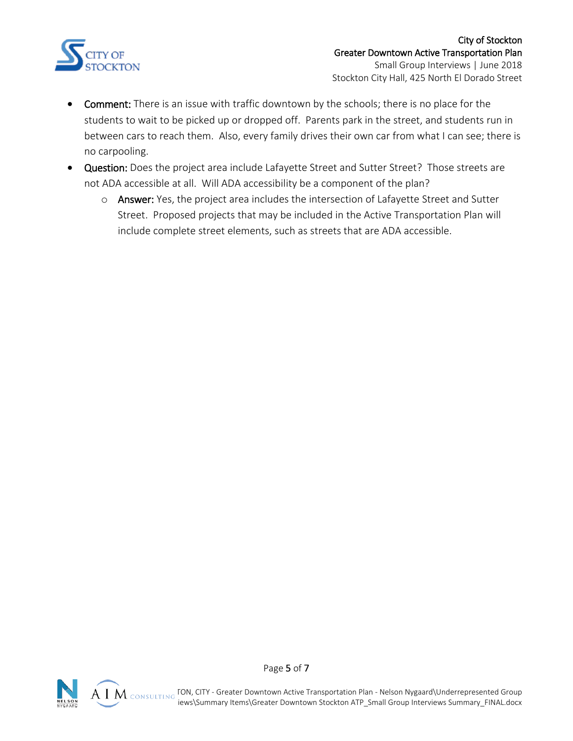

- Comment: There is an issue with traffic downtown by the schools; there is no place for the students to wait to be picked up or dropped off. Parents park in the street, and students run in between cars to reach them. Also, every family drives their own car from what I can see; there is no carpooling.
- Question: Does the project area include Lafayette Street and Sutter Street? Those streets are not ADA accessible at all. Will ADA accessibility be a component of the plan?
	- o Answer: Yes, the project area includes the intersection of Lafayette Street and Sutter Street. Proposed projects that may be included in the Active Transportation Plan will include complete street elements, such as streets that are ADA accessible.

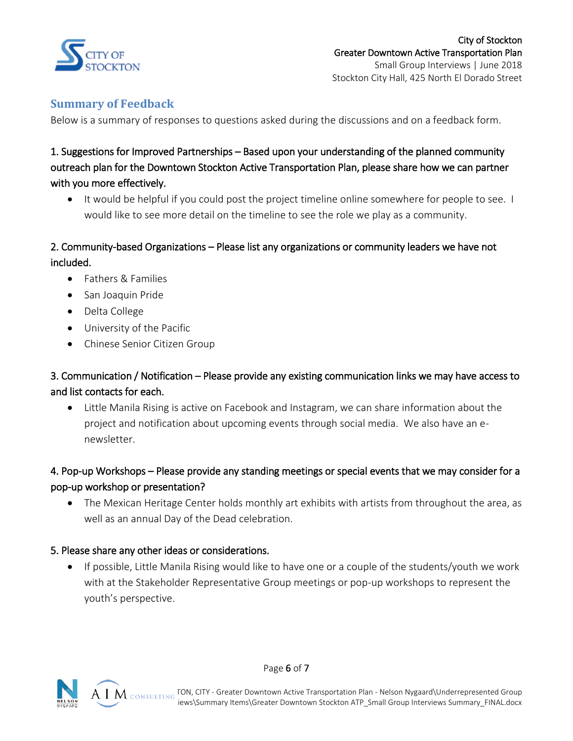

# **Summary of Feedback**

Below is a summary of responses to questions asked during the discussions and on a feedback form.

# 1. Suggestions for Improved Partnerships – Based upon your understanding of the planned community outreach plan for the Downtown Stockton Active Transportation Plan, please share how we can partner with you more effectively.

 It would be helpful if you could post the project timeline online somewhere for people to see. I would like to see more detail on the timeline to see the role we play as a community.

# 2. Community-based Organizations – Please list any organizations or community leaders we have not included.

- Fathers & Families
- San Joaquin Pride
- Delta College
- University of the Pacific
- Chinese Senior Citizen Group

# 3. Communication / Notification – Please provide any existing communication links we may have access to and list contacts for each.

 Little Manila Rising is active on Facebook and Instagram, we can share information about the project and notification about upcoming events through social media. We also have an enewsletter.

# 4. Pop-up Workshops – Please provide any standing meetings or special events that we may consider for a pop-up workshop or presentation?

 The Mexican Heritage Center holds monthly art exhibits with artists from throughout the area, as well as an annual Day of the Dead celebration.

#### 5. Please share any other ideas or considerations.

 If possible, Little Manila Rising would like to have one or a couple of the students/youth we work with at the Stakeholder Representative Group meetings or pop-up workshops to represent the youth's perspective.



Page 6 of 7

L:\PROJECTS\STOCKTON, CITY - Greater Downtown Active Transportation Plan - Nelson Nygaard\Underrepresented Group iews\Summary Items\Greater Downtown Stockton ATP\_Small Group Interviews Summary\_FINAL.docx